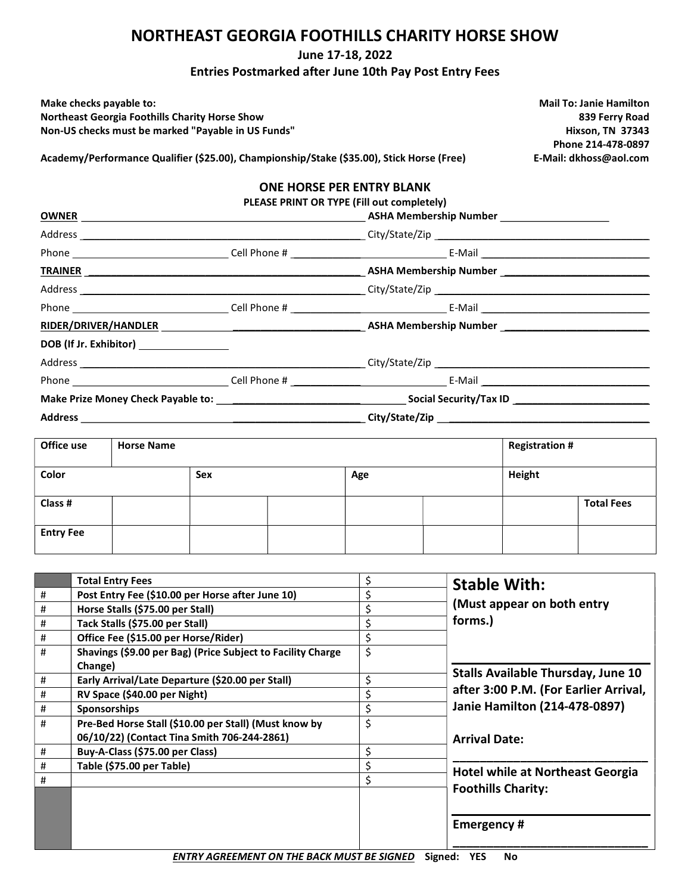#### NORTHEAST GEORGIA FOOTHILLS CHARITY HORSE SHOW

#### June 17-18, 2022

Entries Postmarked after June 10th Pay Post Entry Fees

| Make checks payable to:                               |
|-------------------------------------------------------|
| <b>Northeast Georgia Foothills Charity Horse Show</b> |
| Non-US checks must be marked "Pavable in US Funds'    |

**Mail To: Janie Hamilton** 839 Ferry Road و839 Ferry Road<br>- المستخدم المستخدم المستخدم المستخدم المستخدم المستخدم المستخدم المستخدم المستخدم المستخدم المستخدم المستخدم <br>- المستخدم المستخدم المستخدم المستخدم المستخدم المستخدم المستخدم المستخدم المست Hixson, TN 37343 Phone 214-478-0897 Academy/Performance Qualifier (\$25.00), Championship/Stake (\$35.00), Stick Horse (Free) E-Mail: dkhoss@aol.com

#### ONE HORSE PER ENTRY BLANK

PLEASE PRINT OR TYPE (Fill out completely)

|                                         | ASHA Membership Number ____________________ |
|-----------------------------------------|---------------------------------------------|
|                                         |                                             |
|                                         |                                             |
|                                         |                                             |
|                                         |                                             |
|                                         |                                             |
|                                         |                                             |
| DOB (If Jr. Exhibitor) ________________ |                                             |
|                                         |                                             |
|                                         |                                             |
|                                         |                                             |
|                                         |                                             |

| Office use       | <b>Horse Name</b> |     |  |     | <b>Registration #</b> |        |                   |
|------------------|-------------------|-----|--|-----|-----------------------|--------|-------------------|
| Color            |                   | Sex |  | Age |                       | Height |                   |
| Class #          |                   |     |  |     |                       |        | <b>Total Fees</b> |
| <b>Entry Fee</b> |                   |     |  |     |                       |        |                   |

|   | <b>Total Entry Fees</b>                                     | \$<br><b>Stable With:</b>                     |
|---|-------------------------------------------------------------|-----------------------------------------------|
| # | Post Entry Fee (\$10.00 per Horse after June 10)            | \$                                            |
| # | Horse Stalls (\$75.00 per Stall)                            | \$<br>(Must appear on both entry              |
| # | Tack Stalls (\$75.00 per Stall)                             | \$<br>forms.)                                 |
| # | Office Fee (\$15.00 per Horse/Rider)                        | \$                                            |
| # | Shavings (\$9.00 per Bag) (Price Subject to Facility Charge | \$                                            |
|   | Change)                                                     | <b>Stalls Available Thursday, June 10</b>     |
| # | Early Arrival/Late Departure (\$20.00 per Stall)            | \$                                            |
| # | RV Space (\$40.00 per Night)                                | \$<br>after 3:00 P.M. (For Earlier Arrival,   |
| # | <b>Sponsorships</b>                                         | \$<br><b>Janie Hamilton (214-478-0897)</b>    |
| # | Pre-Bed Horse Stall (\$10.00 per Stall) (Must know by       | \$                                            |
|   | 06/10/22) (Contact Tina Smith 706-244-2861)                 | <b>Arrival Date:</b>                          |
| # | Buy-A-Class (\$75.00 per Class)                             | \$                                            |
| # | Table (\$75.00 per Table)                                   | \$<br><b>Hotel while at Northeast Georgia</b> |
| # |                                                             | \$                                            |
|   |                                                             | <b>Foothills Charity:</b>                     |
|   |                                                             |                                               |
|   |                                                             | <b>Emergency#</b>                             |
|   |                                                             |                                               |
|   |                                                             |                                               |